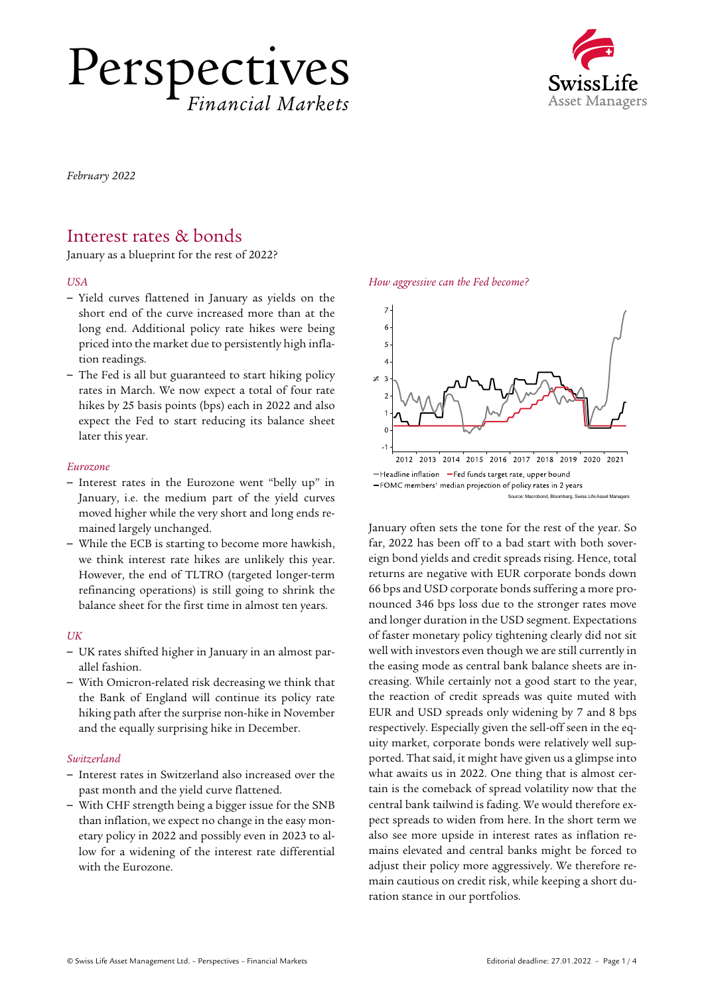Perspectives *Financial Markets*



*February 2022*

## Interest rates & bonds

January as a blueprint for the rest of 2022?

#### *USA*

- Yield curves flattened in January as yields on the short end of the curve increased more than at the long end. Additional policy rate hikes were being priced into the market due to persistently high inflation readings.
- The Fed is all but guaranteed to start hiking policy rates in March. We now expect a total of four rate hikes by 25 basis points (bps) each in 2022 and also expect the Fed to start reducing its balance sheet later this year.

#### *Eurozone*

- Interest rates in the Eurozone went "belly up" in January, i.e. the medium part of the yield curves moved higher while the very short and long ends remained largely unchanged.
- While the ECB is starting to become more hawkish, we think interest rate hikes are unlikely this year. However, the end of TLTRO (targeted longer-term refinancing operations) is still going to shrink the balance sheet for the first time in almost ten years.

#### $I$ *IK*

- UK rates shifted higher in January in an almost parallel fashion.
- With Omicron-related risk decreasing we think that the Bank of England will continue its policy rate hiking path after the surprise non-hike in November and the equally surprising hike in December.

#### *Switzerland*

- Interest rates in Switzerland also increased over the past month and the yield curve flattened.
- With CHF strength being a bigger issue for the SNB than inflation, we expect no change in the easy monetary policy in 2022 and possibly even in 2023 to allow for a widening of the interest rate differential with the Eurozone.

#### *How aggressive can the Fed become?*



urce: Macrobond, Bloomberg, Swiss Life Asset Managers

January often sets the tone for the rest of the year. So far, 2022 has been off to a bad start with both sovereign bond yields and credit spreads rising. Hence, total returns are negative with EUR corporate bonds down 66 bps and USD corporate bonds suffering a more pronounced 346 bps loss due to the stronger rates move and longer duration in the USD segment. Expectations of faster monetary policy tightening clearly did not sit well with investors even though we are still currently in the easing mode as central bank balance sheets are increasing. While certainly not a good start to the year, the reaction of credit spreads was quite muted with EUR and USD spreads only widening by 7 and 8 bps respectively. Especially given the sell-off seen in the equity market, corporate bonds were relatively well supported. That said, it might have given us a glimpse into what awaits us in 2022. One thing that is almost certain is the comeback of spread volatility now that the central bank tailwind is fading. We would therefore expect spreads to widen from here. In the short term we also see more upside in interest rates as inflation remains elevated and central banks might be forced to adjust their policy more aggressively. We therefore remain cautious on credit risk, while keeping a short duration stance in our portfolios.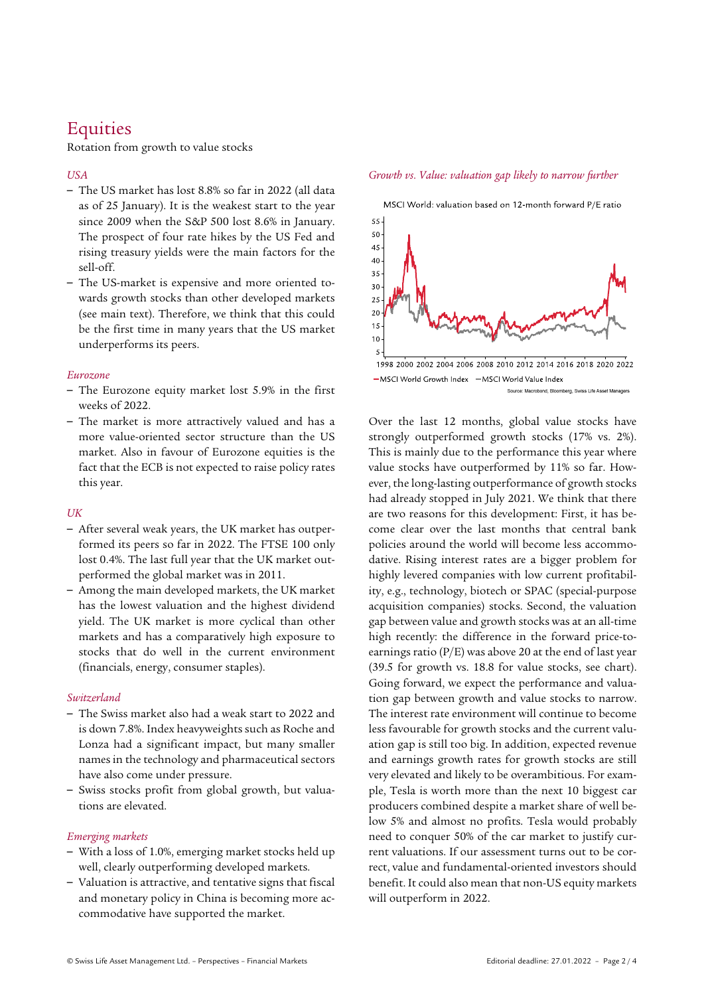# **Equities**

Rotation from growth to value stocks

### *USA*

- The US market has lost 8.8% so far in 2022 (all data as of 25 January). It is the weakest start to the year since 2009 when the S&P 500 lost 8.6% in January. The prospect of four rate hikes by the US Fed and rising treasury yields were the main factors for the sell-off.
- The US-market is expensive and more oriented towards growth stocks than other developed markets (see main text). Therefore, we think that this could be the first time in many years that the US market underperforms its peers.

#### *Eurozone*

- The Eurozone equity market lost 5.9% in the first weeks of 2022.
- The market is more attractively valued and has a more value-oriented sector structure than the US market. Also in favour of Eurozone equities is the fact that the ECB is not expected to raise policy rates this year.

#### *UK*

- After several weak years, the UK market has outperformed its peers so far in 2022. The FTSE 100 only lost 0.4%. The last full year that the UK market outperformed the global market was in 2011.
- Among the main developed markets, the UK market has the lowest valuation and the highest dividend yield. The UK market is more cyclical than other markets and has a comparatively high exposure to stocks that do well in the current environment (financials, energy, consumer staples).

#### *Switzerland*

- The Swiss market also had a weak start to 2022 and is down 7.8%. Index heavyweights such as Roche and Lonza had a significant impact, but many smaller names in the technology and pharmaceutical sectors have also come under pressure.
- Swiss stocks profit from global growth, but valuations are elevated.

#### *Emerging markets*

- With a loss of 1.0%, emerging market stocks held up well, clearly outperforming developed markets.
- Valuation is attractive, and tentative signs that fiscal and monetary policy in China is becoming more accommodative have supported the market.

#### *Growth vs. Value: valuation gap likely to narrow further*

MSCI World: valuation based on 12-month forward P/E ratio



-MSCI World Growth Index - MSCI World Value Index Source: Macrobond, Bloomberg, Swiss Life Asset Managers

Over the last 12 months, global value stocks have strongly outperformed growth stocks (17% vs. 2%). This is mainly due to the performance this year where value stocks have outperformed by 11% so far. However, the long-lasting outperformance of growth stocks had already stopped in July 2021. We think that there are two reasons for this development: First, it has become clear over the last months that central bank policies around the world will become less accommodative. Rising interest rates are a bigger problem for highly levered companies with low current profitability, e.g., technology, biotech or SPAC (special-purpose acquisition companies) stocks. Second, the valuation gap between value and growth stocks was at an all-time high recently: the difference in the forward price-toearnings ratio (P/E) was above 20 at the end of last year (39.5 for growth vs. 18.8 for value stocks, see chart). Going forward, we expect the performance and valuation gap between growth and value stocks to narrow. The interest rate environment will continue to become less favourable for growth stocks and the current valuation gap is still too big. In addition, expected revenue and earnings growth rates for growth stocks are still very elevated and likely to be overambitious. For example, Tesla is worth more than the next 10 biggest car producers combined despite a market share of well below 5% and almost no profits. Tesla would probably need to conquer 50% of the car market to justify current valuations. If our assessment turns out to be correct, value and fundamental-oriented investors should benefit. It could also mean that non-US equity markets will outperform in 2022.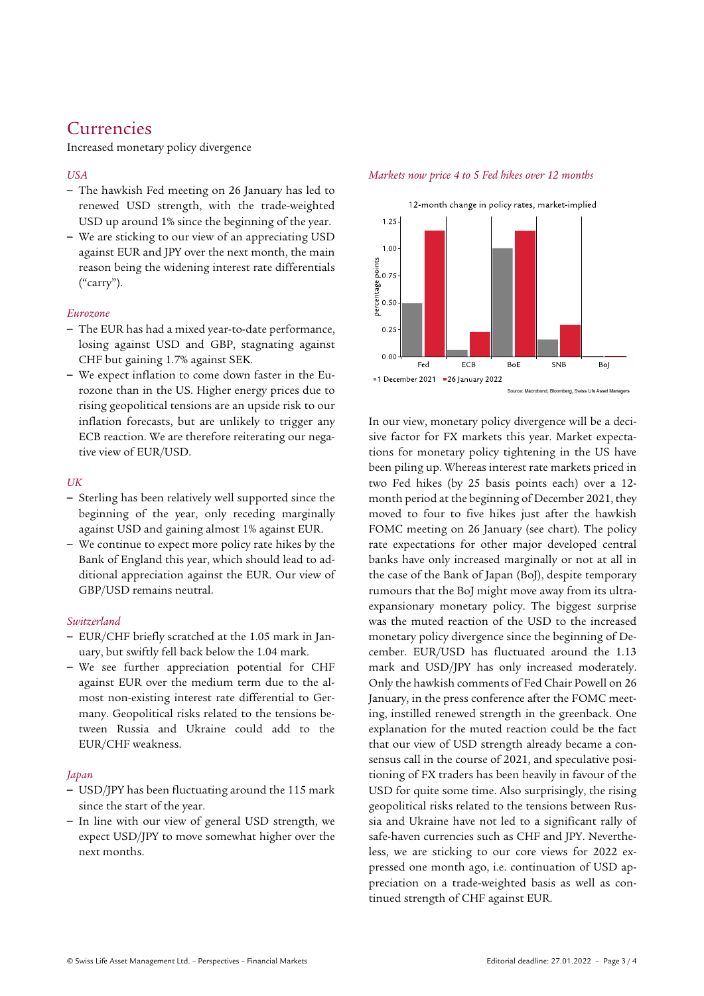## Currencies

Increased monetary policy divergence

#### *USA*

- The hawkish Fed meeting on 26 January has led to renewed USD strength, with the trade-weighted USD up around 1% since the beginning of the year.
- We are sticking to our view of an appreciating USD against EUR and JPY over the next month, the main reason being the widening interest rate differentials ("carry").

#### *Eurozone*

- The EUR has had a mixed year-to-date performance, losing against USD and GBP, stagnating against CHF but gaining 1.7% against SEK.
- We expect inflation to come down faster in the Eurozone than in the US. Higher energy prices due to rising geopolitical tensions are an upside risk to our inflation forecasts, but are unlikely to trigger any ECB reaction. We are therefore reiterating our negative view of EUR/USD.

#### *UK*

- Sterling has been relatively well supported since the beginning of the year, only receding marginally against USD and gaining almost 1% against EUR.
- We continue to expect more policy rate hikes by the Bank of England this year, which should lead to additional appreciation against the EUR. Our view of GBP/USD remains neutral.

#### *Switzerland*

- EUR/CHF briefly scratched at the 1.05 mark in January, but swiftly fell back below the 1.04 mark.
- We see further appreciation potential for CHF against EUR over the medium term due to the almost non-existing interest rate differential to Germany. Geopolitical risks related to the tensions between Russia and Ukraine could add to the EUR/CHF weakness.

#### *Japan*

- USD/JPY has been fluctuating around the 115 mark since the start of the year.
- In line with our view of general USD strength, we expect USD/JPY to move somewhat higher over the next months.

#### *Markets now price 4 to 5 Fed hikes over 12 months*



In our view, monetary policy divergence will be a decisive factor for FX markets this year. Market expectations for monetary policy tightening in the US have been piling up. Whereas interest rate markets priced in two Fed hikes (by 25 basis points each) over a 12 month period at the beginning of December 2021, they moved to four to five hikes just after the hawkish FOMC meeting on 26 January (see chart). The policy rate expectations for other major developed central banks have only increased marginally or not at all in the case of the Bank of Japan (BoJ), despite temporary rumours that the BoJ might move away from its ultraexpansionary monetary policy. The biggest surprise was the muted reaction of the USD to the increased monetary policy divergence since the beginning of December. EUR/USD has fluctuated around the 1.13 mark and USD/JPY has only increased moderately. Only the hawkish comments of Fed Chair Powell on 26 January, in the press conference after the FOMC meeting, instilled renewed strength in the greenback. One explanation for the muted reaction could be the fact that our view of USD strength already became a consensus call in the course of 2021, and speculative positioning of FX traders has been heavily in favour of the USD for quite some time. Also surprisingly, the rising geopolitical risks related to the tensions between Russia and Ukraine have not led to a significant rally of safe-haven currencies such as CHF and JPY. Nevertheless, we are sticking to our core views for 2022 expressed one month ago, i.e. continuation of USD appreciation on a trade-weighted basis as well as continued strength of CHF against EUR.